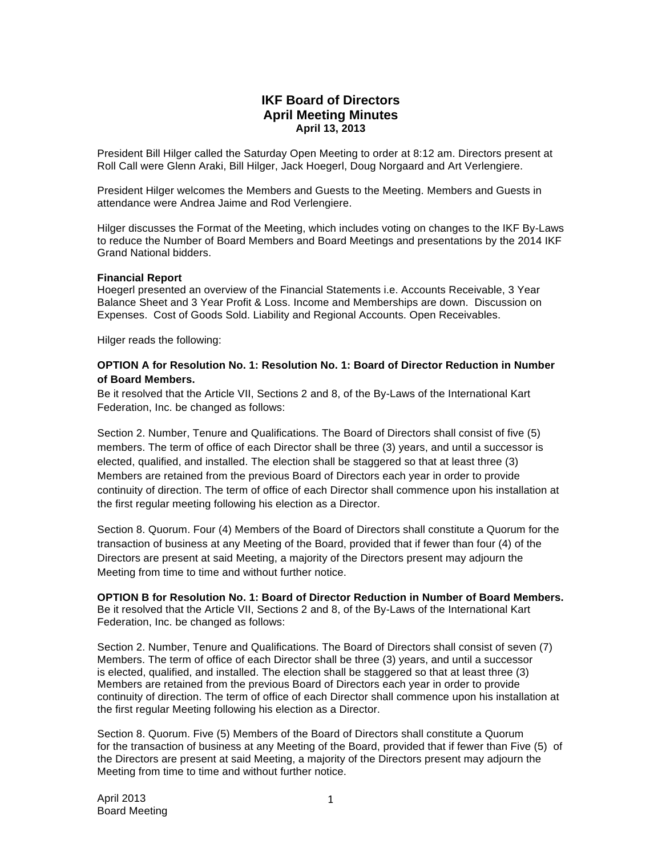# **IKF Board of Directors April Meeting Minutes April 13, 2013**

President Bill Hilger called the Saturday Open Meeting to order at 8:12 am. Directors present at Roll Call were Glenn Araki, Bill Hilger, Jack Hoegerl, Doug Norgaard and Art Verlengiere.

President Hilger welcomes the Members and Guests to the Meeting. Members and Guests in attendance were Andrea Jaime and Rod Verlengiere.

Hilger discusses the Format of the Meeting, which includes voting on changes to the IKF By-Laws to reduce the Number of Board Members and Board Meetings and presentations by the 2014 IKF Grand National bidders.

### **Financial Report**

Hoegerl presented an overview of the Financial Statements i.e. Accounts Receivable, 3 Year Balance Sheet and 3 Year Profit & Loss. Income and Memberships are down. Discussion on Expenses. Cost of Goods Sold. Liability and Regional Accounts. Open Receivables.

Hilger reads the following:

## **OPTION A for Resolution No. 1: Resolution No. 1: Board of Director Reduction in Number of Board Members.**

Be it resolved that the Article VII, Sections 2 and 8, of the By-Laws of the International Kart Federation, Inc. be changed as follows:

Section 2. Number, Tenure and Qualifications. The Board of Directors shall consist of five (5) members. The term of office of each Director shall be three (3) years, and until a successor is elected, qualified, and installed. The election shall be staggered so that at least three (3) Members are retained from the previous Board of Directors each year in order to provide continuity of direction. The term of office of each Director shall commence upon his installation at the first regular meeting following his election as a Director.

Section 8. Quorum. Four (4) Members of the Board of Directors shall constitute a Quorum for the transaction of business at any Meeting of the Board, provided that if fewer than four (4) of the Directors are present at said Meeting, a majority of the Directors present may adjourn the Meeting from time to time and without further notice.

### **OPTION B for Resolution No. 1: Board of Director Reduction in Number of Board Members.**

Be it resolved that the Article VII, Sections 2 and 8, of the By-Laws of the International Kart Federation, Inc. be changed as follows:

Section 2. Number, Tenure and Qualifications. The Board of Directors shall consist of seven (7) Members. The term of office of each Director shall be three (3) years, and until a successor is elected, qualified, and installed. The election shall be staggered so that at least three (3) Members are retained from the previous Board of Directors each year in order to provide continuity of direction. The term of office of each Director shall commence upon his installation at the first regular Meeting following his election as a Director.

Section 8. Quorum. Five (5) Members of the Board of Directors shall constitute a Quorum for the transaction of business at any Meeting of the Board, provided that if fewer than Five (5) of the Directors are present at said Meeting, a majority of the Directors present may adjourn the Meeting from time to time and without further notice.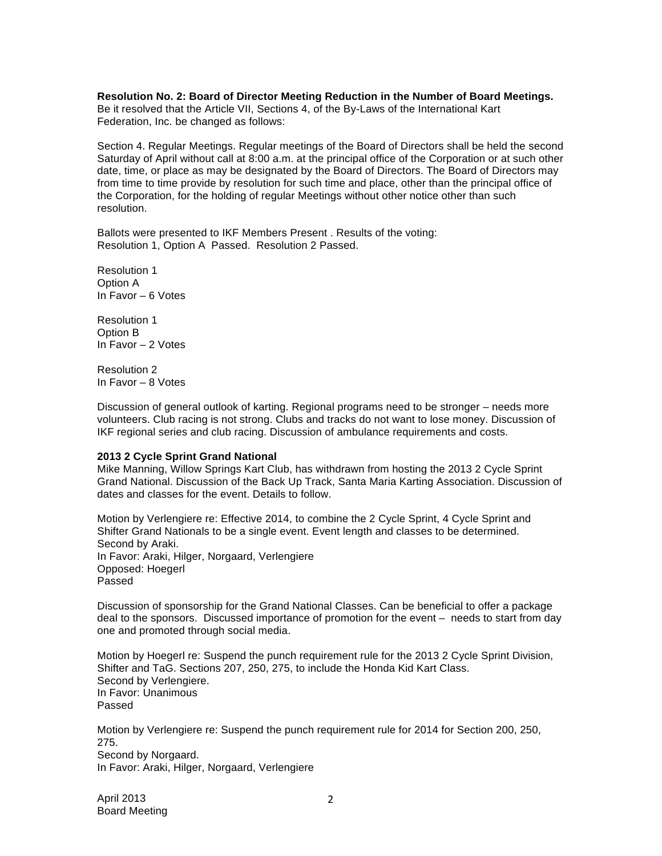**Resolution No. 2: Board of Director Meeting Reduction in the Number of Board Meetings.**  Be it resolved that the Article VII, Sections 4, of the By-Laws of the International Kart Federation, Inc. be changed as follows:

Section 4. Regular Meetings. Regular meetings of the Board of Directors shall be held the second Saturday of April without call at 8:00 a.m. at the principal office of the Corporation or at such other date, time, or place as may be designated by the Board of Directors. The Board of Directors may from time to time provide by resolution for such time and place, other than the principal office of the Corporation, for the holding of regular Meetings without other notice other than such resolution.

Ballots were presented to IKF Members Present . Results of the voting: Resolution 1, Option A Passed. Resolution 2 Passed.

Resolution 1 Option A In Favor – 6 Votes

Resolution 1 Option B In Favor – 2 Votes

Resolution 2 In Favor – 8 Votes

Discussion of general outlook of karting. Regional programs need to be stronger – needs more volunteers. Club racing is not strong. Clubs and tracks do not want to lose money. Discussion of IKF regional series and club racing. Discussion of ambulance requirements and costs.

### **2013 2 Cycle Sprint Grand National**

Mike Manning, Willow Springs Kart Club, has withdrawn from hosting the 2013 2 Cycle Sprint Grand National. Discussion of the Back Up Track, Santa Maria Karting Association. Discussion of dates and classes for the event. Details to follow.

Motion by Verlengiere re: Effective 2014, to combine the 2 Cycle Sprint, 4 Cycle Sprint and Shifter Grand Nationals to be a single event. Event length and classes to be determined. Second by Araki. In Favor: Araki, Hilger, Norgaard, Verlengiere Opposed: Hoegerl Passed

Discussion of sponsorship for the Grand National Classes. Can be beneficial to offer a package deal to the sponsors. Discussed importance of promotion for the event – needs to start from day one and promoted through social media.

Motion by Hoegerl re: Suspend the punch requirement rule for the 2013 2 Cycle Sprint Division, Shifter and TaG. Sections 207, 250, 275, to include the Honda Kid Kart Class. Second by Verlengiere. In Favor: Unanimous Passed

Motion by Verlengiere re: Suspend the punch requirement rule for 2014 for Section 200, 250, 275. Second by Norgaard. In Favor: Araki, Hilger, Norgaard, Verlengiere

April 2013 Board Meeting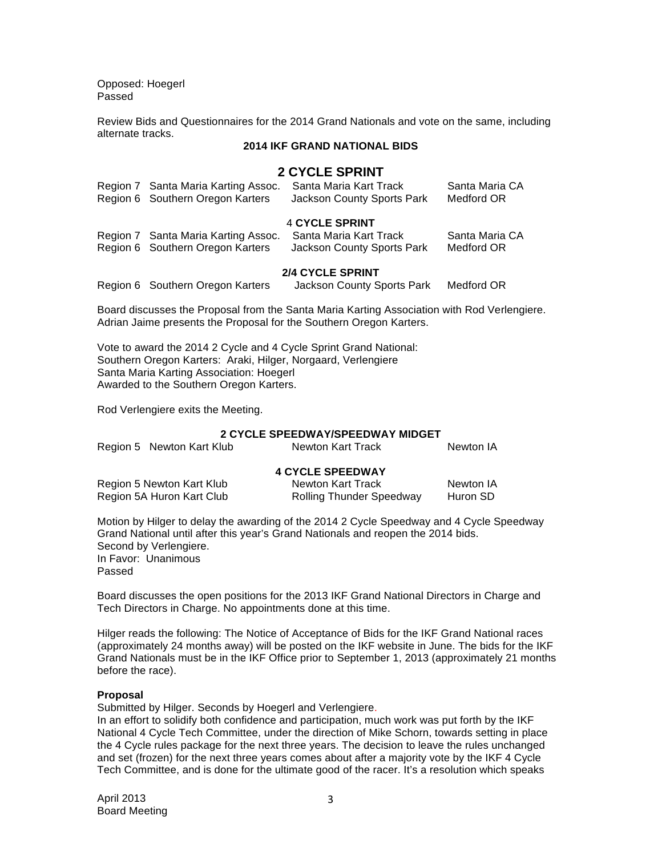Opposed: Hoegerl Passed

Review Bids and Questionnaires for the 2014 Grand Nationals and vote on the same, including alternate tracks.

## **2014 IKF GRAND NATIONAL BIDS**

## **2 CYCLE SPRINT**

|                         | Region 7 Santa Maria Karting Assoc.<br>Region 6 Southern Oregon Karters | Santa Maria Kart Track<br><b>Jackson County Sports Park</b> | Santa Maria CA<br>Medford OR |  |  |
|-------------------------|-------------------------------------------------------------------------|-------------------------------------------------------------|------------------------------|--|--|
| 4 CYCLE SPRINT          |                                                                         |                                                             |                              |  |  |
|                         | Region 7 Santa Maria Karting Assoc.<br>Region 6 Southern Oregon Karters | Santa Maria Kart Track<br><b>Jackson County Sports Park</b> | Santa Maria CA<br>Medford OR |  |  |
| <b>2/4 CYCLE SPRINT</b> |                                                                         |                                                             |                              |  |  |
|                         | Region 6 Southern Oregon Karters                                        | Jackson County Sports Park                                  | Medford OR                   |  |  |

Board discusses the Proposal from the Santa Maria Karting Association with Rod Verlengiere. Adrian Jaime presents the Proposal for the Southern Oregon Karters.

Vote to award the 2014 2 Cycle and 4 Cycle Sprint Grand National: Southern Oregon Karters: Araki, Hilger, Norgaard, Verlengiere Santa Maria Karting Association: Hoegerl Awarded to the Southern Oregon Karters.

Rod Verlengiere exits the Meeting.

## **2 CYCLE SPEEDWAY/SPEEDWAY MIDGET**

| Region 5 Newton Kart Klub | Newton Kart Track | Newton IA |
|---------------------------|-------------------|-----------|
|                           |                   |           |

## **4 CYCLE SPEEDWAY**

| Region 5 Newton Kart Klub | Newton Kart Track               | Newton IA |
|---------------------------|---------------------------------|-----------|
| Region 5A Huron Kart Club | <b>Rolling Thunder Speedway</b> | Huron SD  |

Motion by Hilger to delay the awarding of the 2014 2 Cycle Speedway and 4 Cycle Speedway Grand National until after this year's Grand Nationals and reopen the 2014 bids. Second by Verlengiere. In Favor: Unanimous Passed

Board discusses the open positions for the 2013 IKF Grand National Directors in Charge and Tech Directors in Charge. No appointments done at this time.

Hilger reads the following: The Notice of Acceptance of Bids for the IKF Grand National races (approximately 24 months away) will be posted on the IKF website in June. The bids for the IKF Grand Nationals must be in the IKF Office prior to September 1, 2013 (approximately 21 months before the race).

### **Proposal**

Submitted by Hilger. Seconds by Hoegerl and Verlengiere.

In an effort to solidify both confidence and participation, much work was put forth by the IKF National 4 Cycle Tech Committee, under the direction of Mike Schorn, towards setting in place the 4 Cycle rules package for the next three years. The decision to leave the rules unchanged and set (frozen) for the next three years comes about after a majority vote by the IKF 4 Cycle Tech Committee, and is done for the ultimate good of the racer. It's a resolution which speaks